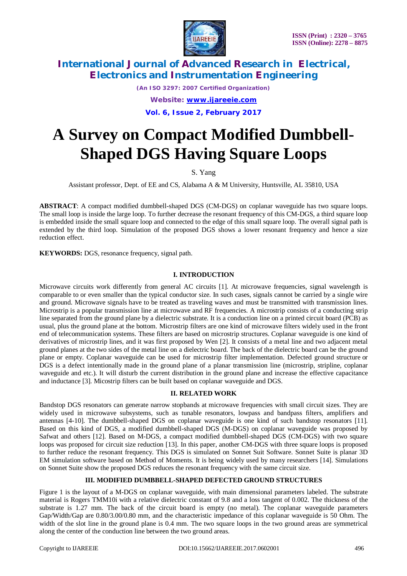

*(An ISO 3297: 2007 Certified Organization) Website: [www.ijareeie.com](http://www.ijareeie.com)* **Vol. 6, Issue 2, February 2017**

# **A Survey on Compact Modified Dumbbell-Shaped DGS Having Square Loops**

S. Yang

Assistant professor, Dept. of EE and CS, Alabama A & M University, Huntsville, AL 35810, USA

**ABSTRACT**: A compact modified dumbbell-shaped DGS (CM-DGS) on coplanar waveguide has two square loops. The small loop is inside the large loop. To further decrease the resonant frequency of this CM-DGS, a third square loop is embedded inside the small square loop and connected to the edge of this small square loop. The overall signal path is extended by the third loop. Simulation of the proposed DGS shows a lower resonant frequency and hence a size reduction effect.

**KEYWORDS:** DGS, resonance frequency, signal path.

### **I. INTRODUCTION**

Microwave circuits work differently from general AC circuits [1]. At microwave frequencies, signal wavelength is comparable to or even smaller than the typical conductor size. In such cases, signals cannot be carried by a single wire and ground. Microwave signals have to be treated as traveling waves and must be transmitted with transmission lines. Microstrip is a popular transmission line at microwave and RF frequencies. A microstrip consists of a conducting strip line separated from the ground plane by a dielectric substrate. It is a conduction line on a printed circuit board (PCB) as usual, plus the ground plane at the bottom. Microstrip filters are one kind of microwave filters widely used in the front end of telecommunication systems. These filters are based on microstrip structures. Coplanar waveguide is one kind of derivatives of microstrip lines, and it was first proposed by Wen [2]. It consists of a metal line and two adjacent metal ground planes at the two sides of the metal line on a dielectric board. The back of the dielectric board can be the ground plane or empty. Coplanar waveguide can be used for microstrip filter implementation. Defected ground structure or DGS is a defect intentionally made in the ground plane of a planar transmission line (microstrip, stripline, coplanar waveguide and etc.). It will disturb the current distribution in the ground plane and increase the effective capacitance and inductance [3]. Micostrip filters can be built based on coplanar waveguide and DGS.

#### **II. RELATED WORK**

Bandstop DGS resonators can generate narrow stopbands at microwave frequencies with small circuit sizes. They are widely used in microwave subsystems, such as tunable resonators, lowpass and bandpass filters, amplifiers and antennas [4-10]. The dumbbell-shaped DGS on coplanar waveguide is one kind of such bandstop resonators [11]. Based on this kind of DGS, a modified dumbbell-shaped DGS (M-DGS) on coplanar waveguide was proposed by Safwat and others [12]. Based on M-DGS, a compact modified dumbbell-shaped DGS (CM-DGS) with two square loops was proposed for circuit size reduction [13]. In this paper, another CM-DGS with three square loops is proposed to further reduce the resonant frequency. This DGS is simulated on Sonnet Suit Software. Sonnet Suite is planar 3D EM simulation software based on Method of Moments. It is being widely used by many researchers [14]. Simulations on Sonnet Suite show the proposed DGS reduces the resonant frequency with the same circuit size.

### **III. MODIFIED DUMBBELL-SHAPED DEFECTED GROUND STRUCTURES**

Figure 1 is the layout of a M-DGS on coplanar waveguide, with main dimensional parameters labeled. The substrate material is Rogers TMM10i with a relative dielectric constant of 9.8 and a loss tangent of 0.002. The thickness of the substrate is 1.27 mm. The back of the circuit board is empty (no metal). The coplanar waveguide parameters Gap/Width/Gap are 0.80/3.00/0.80 mm, and the characteristic impedance of this coplanar waveguide is 50 Ohm. The width of the slot line in the ground plane is 0.4 mm. The two square loops in the two ground areas are symmetrical along the center of the conduction line between the two ground areas.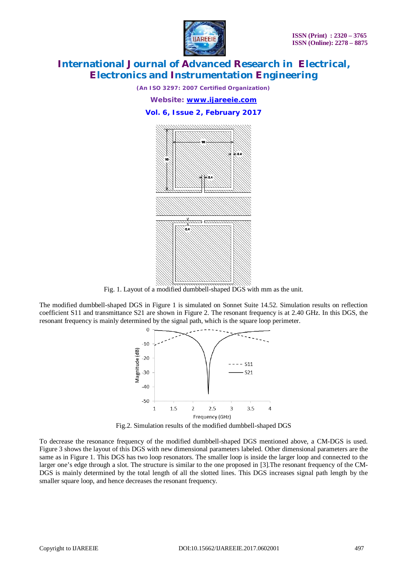

*(An ISO 3297: 2007 Certified Organization)*

*Website: [www.ijareeie.com](http://www.ijareeie.com)*

**Vol. 6, Issue 2, February 2017**



Fig. 1. Layout of a modified dumbbell-shaped DGS with mm as the unit.

The modified dumbbell-shaped DGS in Figure 1 is simulated on Sonnet Suite 14.52. Simulation results on reflection coefficient S11 and transmittance S21 are shown in Figure 2. The resonant frequency is at 2.40 GHz. In this DGS, the resonant frequency is mainly determined by the signal path, which is the square loop perimeter.



Fig.2. Simulation results of the modified dumbbell-shaped DGS

To decrease the resonance frequency of the modified dumbbell-shaped DGS mentioned above, a CM-DGS is used. Figure 3 shows the layout of this DGS with new dimensional parameters labeled. Other dimensional parameters are the same as in Figure 1. This DGS has two loop resonators. The smaller loop is inside the larger loop and connected to the larger one's edge through a slot. The structure is similar to the one proposed in [3].The resonant frequency of the CM-DGS is mainly determined by the total length of all the slotted lines. This DGS increases signal path length by the smaller square loop, and hence decreases the resonant frequency.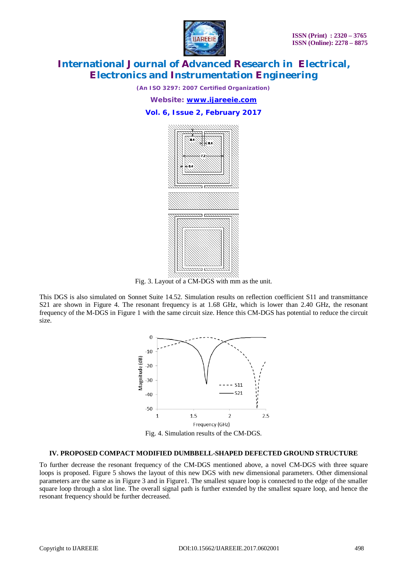

*(An ISO 3297: 2007 Certified Organization)*

*Website: [www.ijareeie.com](http://www.ijareeie.com)*

### **Vol. 6, Issue 2, February 2017**



Fig. 3. Layout of a CM-DGS with mm as the unit.

This DGS is also simulated on Sonnet Suite 14.52. Simulation results on reflection coefficient S11 and transmittance S21 are shown in Figure 4. The resonant frequency is at 1.68 GHz, which is lower than 2.40 GHz, the resonant frequency of the M-DGS in Figure 1 with the same circuit size. Hence this CM-DGS has potential to reduce the circuit size.



Fig. 4. Simulation results of the CM-DGS.

#### **IV. PROPOSED COMPACT MODIFIED DUMBBELL-SHAPED DEFECTED GROUND STRUCTURE**

To further decrease the resonant frequency of the CM-DGS mentioned above, a novel CM-DGS with three square loops is proposed. Figure 5 shows the layout of this new DGS with new dimensional parameters. Other dimensional parameters are the same as in Figure 3 and in Figure1. The smallest square loop is connected to the edge of the smaller square loop through a slot line. The overall signal path is further extended by the smallest square loop, and hence the resonant frequency should be further decreased.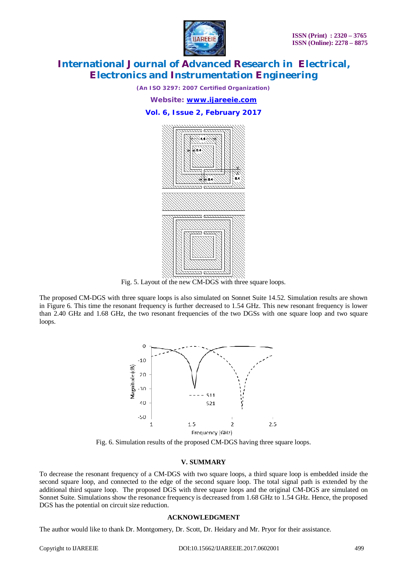

*(An ISO 3297: 2007 Certified Organization)*

*Website: [www.ijareeie.com](http://www.ijareeie.com)*

### **Vol. 6, Issue 2, February 2017**



Fig. 5. Layout of the new CM-DGS with three square loops.

The proposed CM-DGS with three square loops is also simulated on Sonnet Suite 14.52. Simulation results are shown in Figure 6. This time the resonant frequency is further decreased to 1.54 GHz. This new resonant frequency is lower than 2.40 GHz and 1.68 GHz, the two resonant frequencies of the two DGSs with one square loop and two square loops.



Fig. 6. Simulation results of the proposed CM-DGS having three square loops.

#### **V. SUMMARY**

To decrease the resonant frequency of a CM-DGS with two square loops, a third square loop is embedded inside the second square loop, and connected to the edge of the second square loop. The total signal path is extended by the additional third square loop. The proposed DGS with three square loops and the original CM-DGS are simulated on Sonnet Suite. Simulations show the resonance frequency is decreased from 1.68 GHz to 1.54 GHz. Hence, the proposed DGS has the potential on circuit size reduction.

#### **ACKNOWLEDGMENT**

The author would like to thank Dr. Montgomery, Dr. Scott, Dr. Heidary and Mr. Pryor for their assistance.